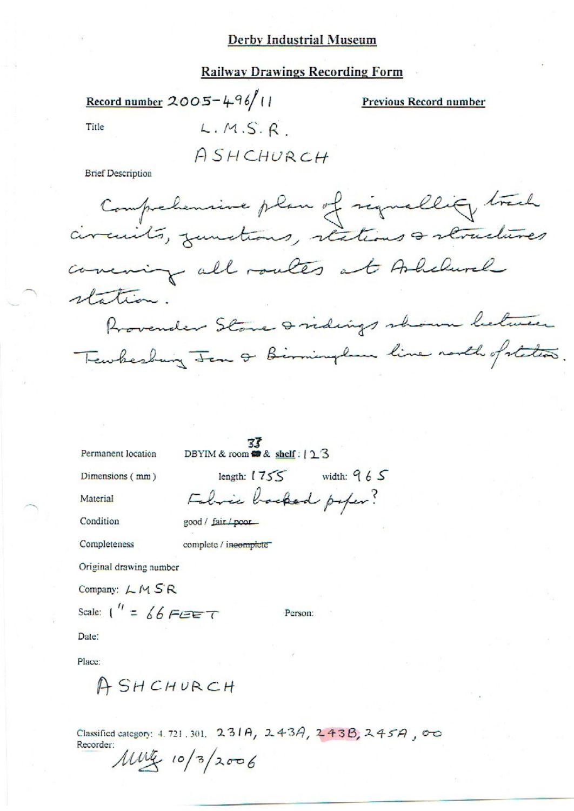#### **Railway Drawings Recording Form**

Record number 2005-496/11

**Previous Record number** 

Title

 $L.M.S.R$ 

ASHCHURCH

**Brief Description** 

Comprehensive plan of signallity track circuits, zunctions, stations & structures concining all routes at Alchurel station. Provender Stone & ridings shown between Tewhesburg Jan & Birminglan line north of states.

Permanent location

 $\frac{37}{36}$ <br>DBYIM & room **on** & shelf :  $\frac{12}{3}$ 

good / fair / poor

complete / incomplete

Dimensions (mm)

Material

Condition

Completeness

Original drawing number

Company:  $LM SR$ 

Scale:  $\int'' = \oint \oint F \mathscr{E} F$ 

Person:

length:  $1755$  width:  $965$ 

Febric backed paper?

Date:

Place:

ASHCHURCH

Classified category: 4.721.301. 231A, 243A, 243B, 245A, 00 Recorder:

 $10\frac{\text{m}}{\text{s}}$  10/3/2006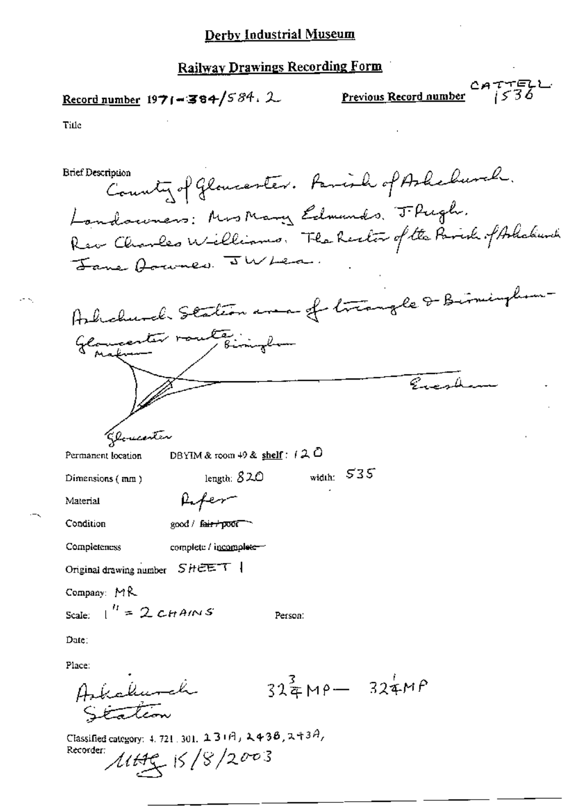### **Railway Drawings Recording Form**

Record number 1971-384/584. 2

Previous Record number  $2477522$ 

Title

County of Gloucester. Famish of Ashebusch. **Brief Description** Landauners: Mrs Mary Edmunds, J. Pugh. Rev Charles Williams. The Rector of the Parish of Askakunk Jane Aramer JWLer. Ashchurch Station area of triangle & Birmingham Glancenter route : implient لمكهدها يرتج Glomeonten DBYIM & room 49 & shelf:  $(20$ Permanent location width:  $535$ length:  $820$ Dimensions (mm) Refer Material Condition  $good /$  fair  $\gamma$  poor  $\gamma$ complete / incomplete-Completeness Original drawing number  $S$   $H \in \mathbb{R}$ <sup>-</sup> $T$  | Company:  $MR$ Scale:  $\int_0^h = 2cHAMS$ Person: Date: Place:  $32\frac{3}{4}M\rho - 324MP$ Askalunch Station Classified category: 4, 721, 301,  $23$ + $\theta$ ,  $2438$ ,  $243\theta$ ,

Recorder:  $1145/8/2003$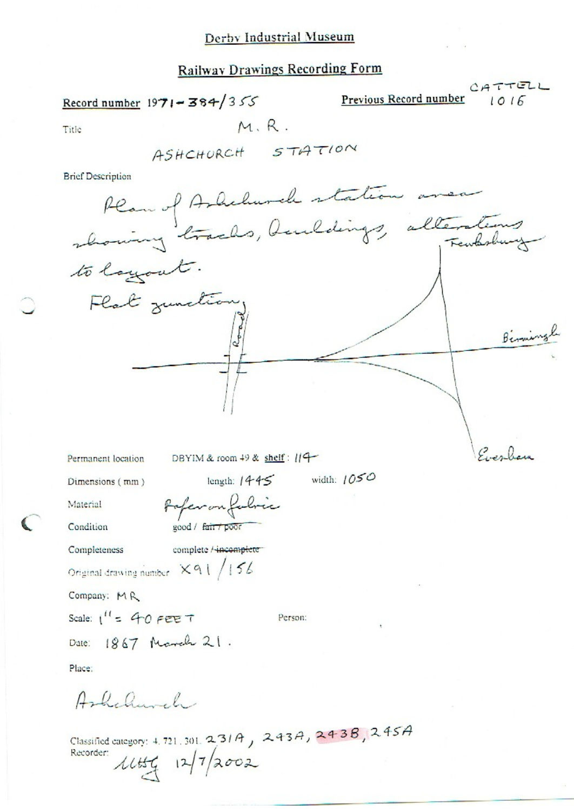# **Railway Drawings Recording Form**

Record number 1971-384/355

Previous Record number

 $1016$ 

CATTELL

Title

 $M, R$ .

**Brief Description** 



Permanent location

DBYIM & room  $49$  & shelf:  $119$ 

Dimensions (mm)

Material

Condition

Completeness

complete / incomplete

Paperon fabric

good / fair / po

Original drawing number  $X91/156$ 

Company: MR

Scale:  $1^{\prime\prime}$  = 40 FEE T

Person:

length:  $1445$  width:  $1050$ 

Date: 1867 March 21.

Place:

Ashelmehr

| Classified category: 4, 721, 301, 2, 31A, 243A, 243B, 245A |  |  |
|------------------------------------------------------------|--|--|
| Recorder: $11/7/2002$                                      |  |  |
|                                                            |  |  |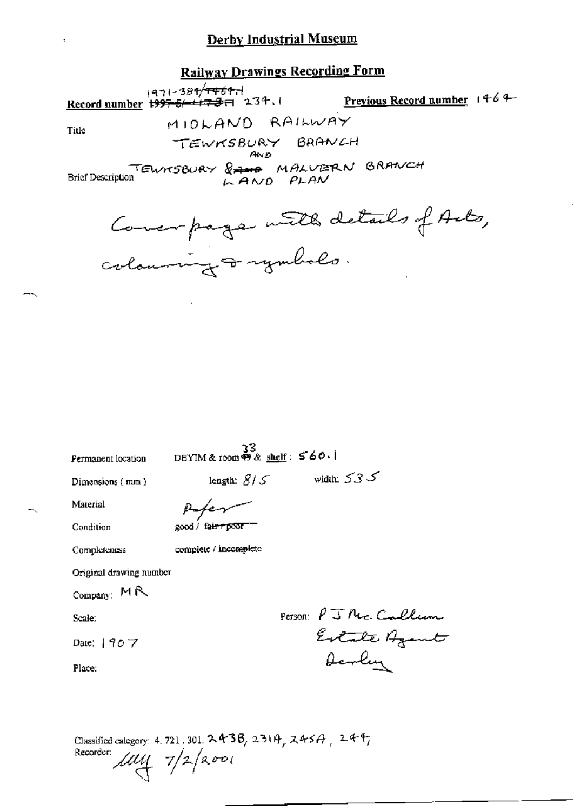# **Railway Drawings Recording Form**

ا<del>، 1994/1469)</del><br><mark>Record number <del>1997-5/- 1723</del> (میلادی)</mark> Previous Record number 1464 MIOLAND RAILWAY Title TEWKSBURY BRANCH Brief Description TEWNSBURY & AND PLAN BRANCH

Concerpage with details of Arts, colouring & rymbols.

Permanent location

 $\frac{33}{2}$ <br>DEYIM & room  $\otimes$  shelf:  $560.1$ 

Dimensions (mm)

 $\text{length: } \mathcal{B}/\mathcal{S} \qquad \qquad \text{width: } \mathcal{S} \mathcal{S} \mathcal{S}$ 

Condition

Material

Peter 200d / fair r poor

Completeness

complete / incomplete

Original drawing number

Company: MR

Scale:

Date: | 907

Place:

Person: PJNe. Callum Estate Agent Devlin

Classified calegory: 4, 721, 301,  $243B$ ,  $231A$ ,  $245A$ ,  $24F$ Recorder:  $\mu$ uy 7/2/2001